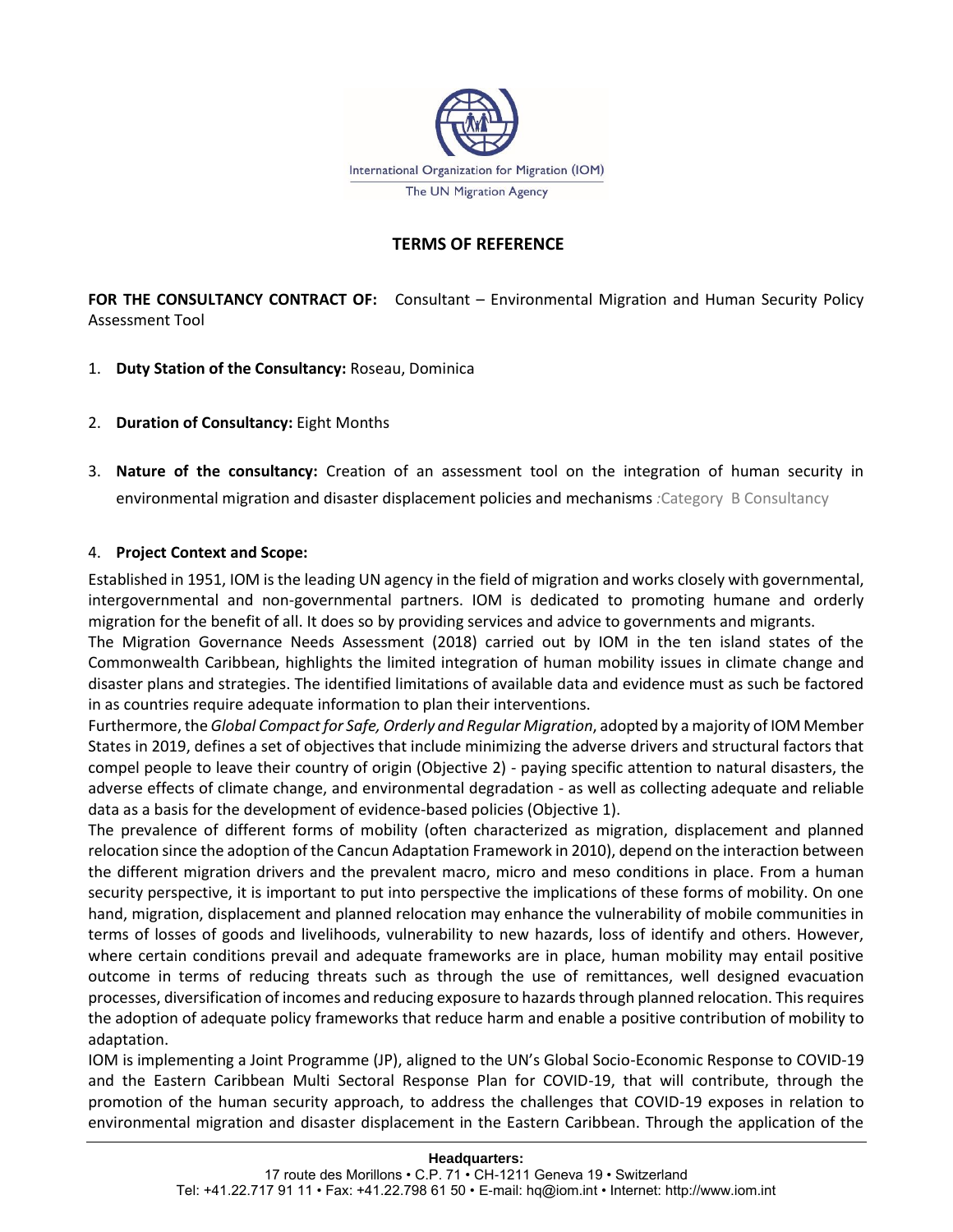

# **TERMS OF REFERENCE**

**FOR THE CONSULTANCY CONTRACT OF:** Consultant – Environmental Migration and Human Security Policy Assessment Tool

- 1. **Duty Station of the Consultancy:** Roseau, Dominica
- 2. **Duration of Consultancy:** Eight Months
- 3. **Nature of the consultancy:** Creation of an assessment tool on the integration of human security in environmental migration and disaster displacement policies and mechanisms *:*Category B Consultancy

### 4. **Project Context and Scope:**

Established in 1951, IOM is the leading UN agency in the field of migration and works closely with governmental, intergovernmental and non-governmental partners. IOM is dedicated to promoting humane and orderly migration for the benefit of all. It does so by providing services and advice to governments and migrants.

The Migration Governance Needs Assessment (2018) carried out by IOM in the ten island states of the Commonwealth Caribbean, highlights the limited integration of human mobility issues in climate change and disaster plans and strategies. The identified limitations of available data and evidence must as such be factored in as countries require adequate information to plan their interventions.

Furthermore, the *Global Compact for Safe, Orderly and Regular Migration*, adopted by a majority of IOM Member States in 2019, defines a set of objectives that include minimizing the adverse drivers and structural factors that compel people to leave their country of origin (Objective 2) - paying specific attention to natural disasters, the adverse effects of climate change, and environmental degradation - as well as collecting adequate and reliable data as a basis for the development of evidence-based policies (Objective 1).

The prevalence of different forms of mobility (often characterized as migration, displacement and planned relocation since the adoption of the Cancun Adaptation Framework in 2010), depend on the interaction between the different migration drivers and the prevalent macro, micro and meso conditions in place. From a human security perspective, it is important to put into perspective the implications of these forms of mobility. On one hand, migration, displacement and planned relocation may enhance the vulnerability of mobile communities in terms of losses of goods and livelihoods, vulnerability to new hazards, loss of identify and others. However, where certain conditions prevail and adequate frameworks are in place, human mobility may entail positive outcome in terms of reducing threats such as through the use of remittances, well designed evacuation processes, diversification of incomes and reducing exposure to hazards through planned relocation. This requires the adoption of adequate policy frameworks that reduce harm and enable a positive contribution of mobility to adaptation.

IOM is implementing a Joint Programme (JP), aligned to the UN's Global Socio-Economic Response to COVID-19 and the Eastern Caribbean Multi Sectoral Response Plan for COVID-19, that will contribute, through the promotion of the human security approach, to address the challenges that COVID-19 exposes in relation to environmental migration and disaster displacement in the Eastern Caribbean. Through the application of the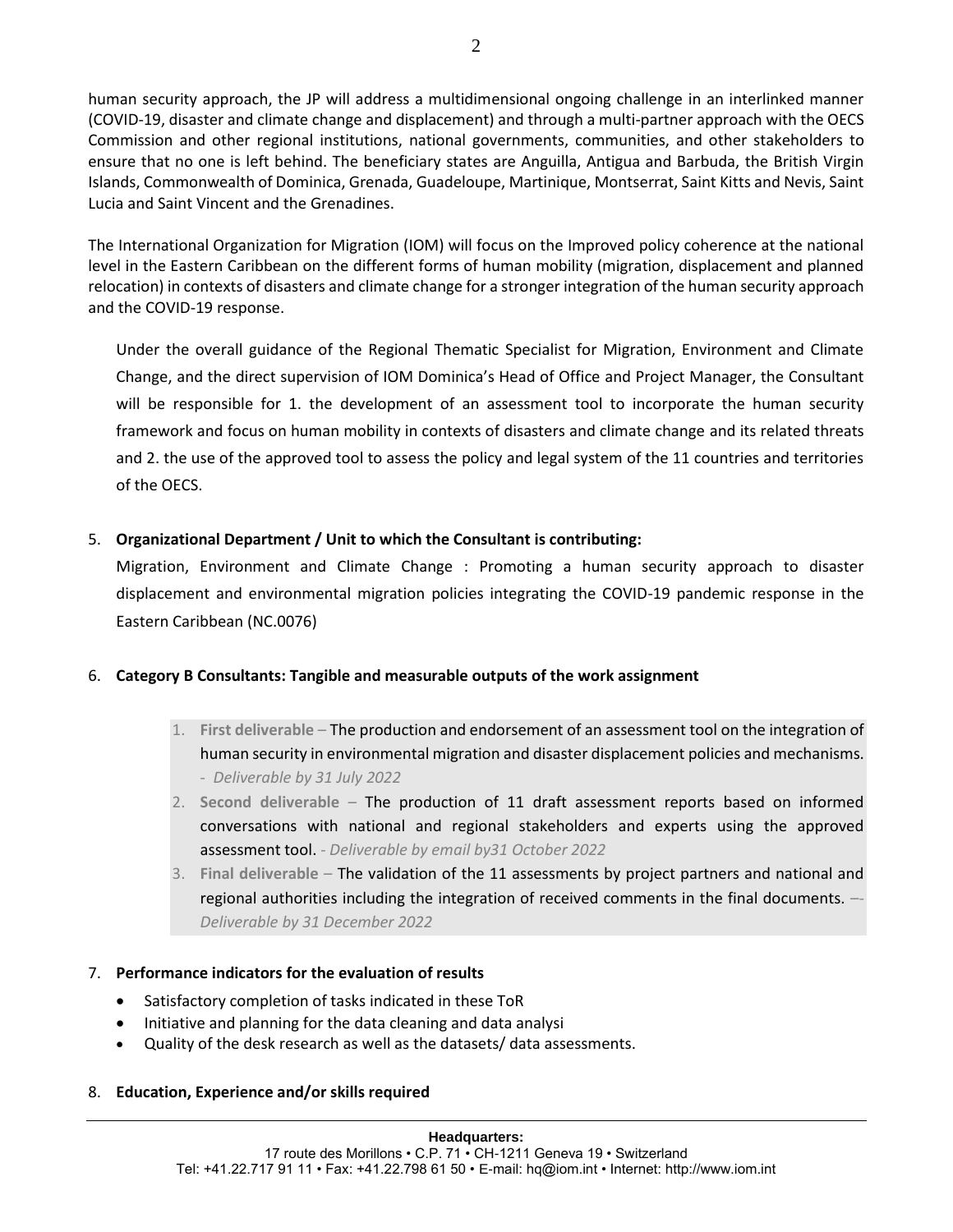human security approach, the JP will address a multidimensional ongoing challenge in an interlinked manner (COVID-19, disaster and climate change and displacement) and through a multi-partner approach with the OECS Commission and other regional institutions, national governments, communities, and other stakeholders to ensure that no one is left behind. The beneficiary states are Anguilla, Antigua and Barbuda, the British Virgin Islands, Commonwealth of Dominica, Grenada, Guadeloupe, Martinique, Montserrat, Saint Kitts and Nevis, Saint Lucia and Saint Vincent and the Grenadines.

The International Organization for Migration (IOM) will focus on the Improved policy coherence at the national level in the Eastern Caribbean on the different forms of human mobility (migration, displacement and planned relocation) in contexts of disasters and climate change for a stronger integration of the human security approach and the COVID-19 response.

Under the overall guidance of the Regional Thematic Specialist for Migration, Environment and Climate Change, and the direct supervision of IOM Dominica's Head of Office and Project Manager, the Consultant will be responsible for 1. the development of an assessment tool to incorporate the human security framework and focus on human mobility in contexts of disasters and climate change and its related threats and 2. the use of the approved tool to assess the policy and legal system of the 11 countries and territories of the OECS.

# 5. **Organizational Department / Unit to which the Consultant is contributing:**

Migration, Environment and Climate Change : Promoting a human security approach to disaster displacement and environmental migration policies integrating the COVID-19 pandemic response in the Eastern Caribbean (NC.0076)

### 6. **Category B Consultants: Tangible and measurable outputs of the work assignment**

- 1. **First deliverable** The production and endorsement of an assessment tool on the integration of human security in environmental migration and disaster displacement policies and mechanisms. - *Deliverable by 31 July 2022*
- 2. **Second deliverable** *–* The production of 11 draft assessment reports based on informed conversations with national and regional stakeholders and experts using the approved assessment tool. - *Deliverable by email by31 October 2022*
- 3. **Final deliverable** The validation of the 11 assessments by project partners and national and regional authorities including the integration of received comments in the final documents. –*- Deliverable by 31 December 2022*

### 7. **Performance indicators for the evaluation of results**

- Satisfactory completion of tasks indicated in these ToR
- Initiative and planning for the data cleaning and data analysi
- Quality of the desk research as well as the datasets/ data assessments.

### 8. **Education, Experience and/or skills required**